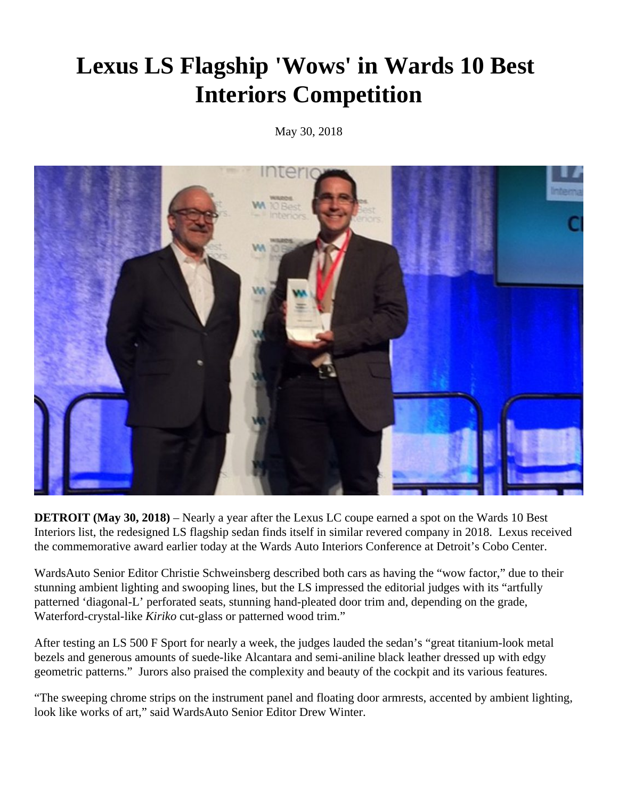## **Lexus LS Flagship 'Wows' in Wards 10 Best Interiors Competition**

May 30, 2018



**DETROIT (May 30, 2018)** – Nearly a year after the Lexus LC coupe earned a spot on the Wards 10 Best Interiors list, the redesigned LS flagship sedan finds itself in similar revered company in 2018. Lexus received the commemorative award earlier today at the Wards Auto Interiors Conference at Detroit's Cobo Center.

WardsAuto Senior Editor Christie Schweinsberg described both cars as having the "wow factor," due to their stunning ambient lighting and swooping lines, but the LS impressed the editorial judges with its "artfully patterned 'diagonal-L' perforated seats, stunning hand-pleated door trim and, depending on the grade, Waterford-crystal-like *Kiriko* cut-glass or patterned wood trim."

After testing an LS 500 F Sport for nearly a week, the judges lauded the sedan's "great titanium-look metal bezels and generous amounts of suede-like Alcantara and semi-aniline black leather dressed up with edgy geometric patterns." Jurors also praised the complexity and beauty of the cockpit and its various features.

"The sweeping chrome strips on the instrument panel and floating door armrests, accented by ambient lighting, look like works of art," said WardsAuto Senior Editor Drew Winter.